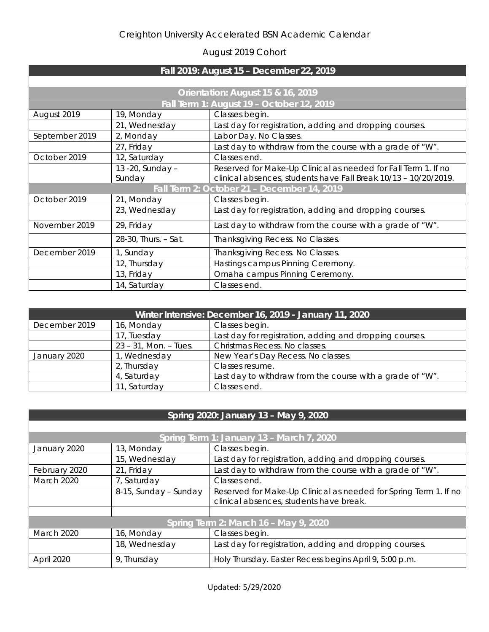## August 2019 Cohort

| Fall 2019: August 15 - December 22, 2019  |                      |                                                                 |  |  |
|-------------------------------------------|----------------------|-----------------------------------------------------------------|--|--|
|                                           |                      |                                                                 |  |  |
| Orientation: August 15 & 16, 2019         |                      |                                                                 |  |  |
| Fall Term 1: August 19 - October 12, 2019 |                      |                                                                 |  |  |
| August 2019                               | 19, Monday           | Classes begin.                                                  |  |  |
|                                           | 21, Wednesday        | Last day for registration, adding and dropping courses.         |  |  |
| September 2019                            | 2, Monday            | Labor Day. No Classes.                                          |  |  |
|                                           | 27, Friday           | Last day to withdraw from the course with a grade of "W".       |  |  |
| October 2019                              | 12, Saturday         | Classes end.                                                    |  |  |
|                                           | 13 - 20, Sunday -    | Reserved for Make-Up Clinical as needed for Fall Term 1. If no  |  |  |
|                                           | Sunday               | clinical absences, students have Fall Break 10/13 - 10/20/2019. |  |  |
|                                           |                      | Fall Term 2: October 21 - December 14, 2019                     |  |  |
| October 2019                              | 21, Monday           | Classes begin.                                                  |  |  |
|                                           | 23, Wednesday        | Last day for registration, adding and dropping courses.         |  |  |
| November 2019                             | 29, Friday           | Last day to withdraw from the course with a grade of "W".       |  |  |
|                                           | 28-30, Thurs. - Sat. | Thanksgiving Recess. No Classes.                                |  |  |
| December 2019                             | 1, Sunday            | Thanksgiving Recess. No Classes.                                |  |  |
|                                           | 12, Thursday         | Hastings campus Pinning Ceremony.                               |  |  |
|                                           | 13, Friday           | Omaha campus Pinning Ceremony.                                  |  |  |
|                                           | 14, Saturday         | Classes end.                                                    |  |  |

| Winter Intensive: December 16, 2019 - January 11, 2020 |                          |                                                           |  |
|--------------------------------------------------------|--------------------------|-----------------------------------------------------------|--|
| December 2019                                          | 16, Monday               | Classes begin.                                            |  |
|                                                        | 17, Tuesday              | Last day for registration, adding and dropping courses.   |  |
|                                                        | $23 - 31$ , Mon. - Tues. | Christmas Recess. No classes.                             |  |
| January 2020                                           | 1, Wednesday             | New Year's Day Recess. No classes.                        |  |
|                                                        | 2, Thursday              | Classes resume.                                           |  |
|                                                        | 4, Saturday              | Last day to withdraw from the course with a grade of "W". |  |
|                                                        | 11, Saturday             | Classes end.                                              |  |

| Spring 2020: January 13 - May 9, 2020     |                       |                                                                                                             |  |  |
|-------------------------------------------|-----------------------|-------------------------------------------------------------------------------------------------------------|--|--|
|                                           |                       |                                                                                                             |  |  |
| Spring Term 1: January 13 - March 7, 2020 |                       |                                                                                                             |  |  |
| January 2020                              | 13, Monday            | Classes begin.                                                                                              |  |  |
|                                           | 15, Wednesday         | Last day for registration, adding and dropping courses.                                                     |  |  |
| February 2020                             | 21, Friday            | Last day to withdraw from the course with a grade of "W".                                                   |  |  |
| March 2020                                | 7, Saturday           | Classes end.                                                                                                |  |  |
|                                           | 8-15, Sunday - Sunday | Reserved for Make-Up Clinical as needed for Spring Term 1. If no<br>clinical absences, students have break. |  |  |
|                                           |                       |                                                                                                             |  |  |
| Spring Term 2: March 16 - May 9, 2020     |                       |                                                                                                             |  |  |
| <b>March 2020</b>                         | 16, Monday            | Classes begin.                                                                                              |  |  |
|                                           | 18, Wednesday         | Last day for registration, adding and dropping courses.                                                     |  |  |
| April 2020                                | 9, Thursday           | Holy Thursday. Easter Recess begins April 9, 5:00 p.m.                                                      |  |  |